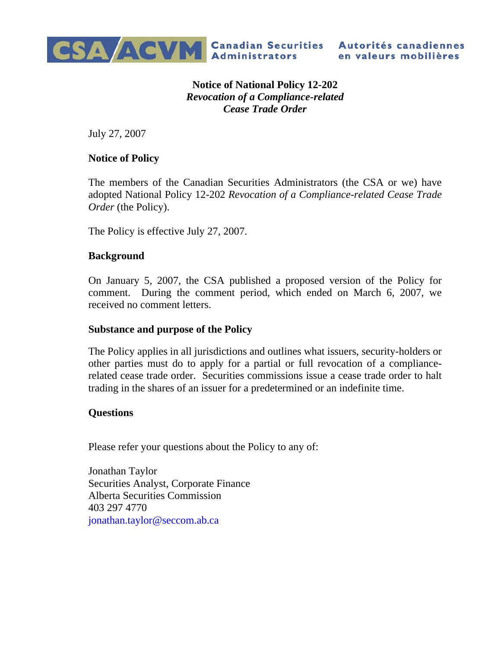

**Notice of National Policy 12-202**  *Revocation of a Compliance-related Cease Trade Order*

July 27, 2007

## **Notice of Policy**

The members of the Canadian Securities Administrators (the CSA or we) have adopted National Policy 12-202 *Revocation of a Compliance-related Cease Trade Order* (the Policy).

The Policy is effective July 27, 2007.

## **Background**

On January 5, 2007, the CSA published a proposed version of the Policy for comment. During the comment period, which ended on March 6, 2007, we received no comment letters.

## **Substance and purpose of the Policy**

The Policy applies in all jurisdictions and outlines what issuers, security-holders or other parties must do to apply for a partial or full revocation of a compliancerelated cease trade order. Securities commissions issue a cease trade order to halt trading in the shares of an issuer for a predetermined or an indefinite time.

## **Questions**

Please refer your questions about the Policy to any of:

Jonathan Taylor Securities Analyst, Corporate Finance Alberta Securities Commission 403 297 4770 jonathan.taylor@seccom.ab.ca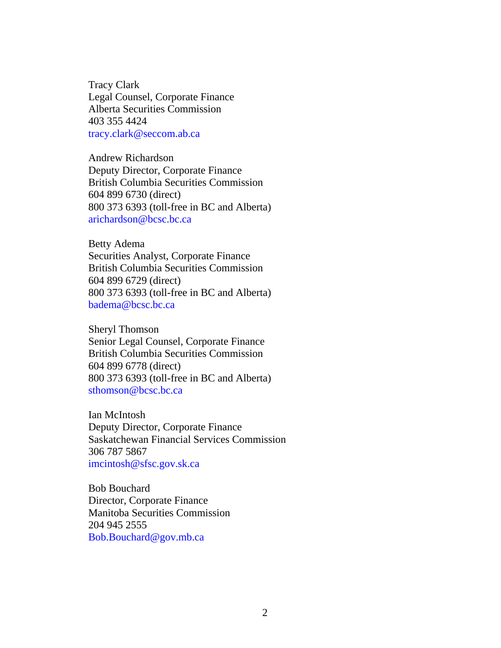Tracy Clark Legal Counsel, Corporate Finance Alberta Securities Commission 403 355 4424 tracy.clark@seccom.ab.ca

Andrew Richardson Deputy Director, Corporate Finance British Columbia Securities Commission 604 899 6730 (direct) 800 373 6393 (toll-free in BC and Alberta) arichardson@bcsc.bc.ca

Betty Adema Securities Analyst, Corporate Finance British Columbia Securities Commission 604 899 6729 (direct) 800 373 6393 (toll-free in BC and Alberta) badema@bcsc.bc.ca

Sheryl Thomson Senior Legal Counsel, Corporate Finance British Columbia Securities Commission 604 899 6778 (direct) 800 373 6393 (toll-free in BC and Alberta) sthomson@bcsc.bc.ca

Ian McIntosh Deputy Director, Corporate Finance Saskatchewan Financial Services Commission 306 787 5867 imcintosh@sfsc.gov.sk.ca

Bob Bouchard Director, Corporate Finance Manitoba Securities Commission 204 945 2555 Bob.Bouchard@gov.mb.ca